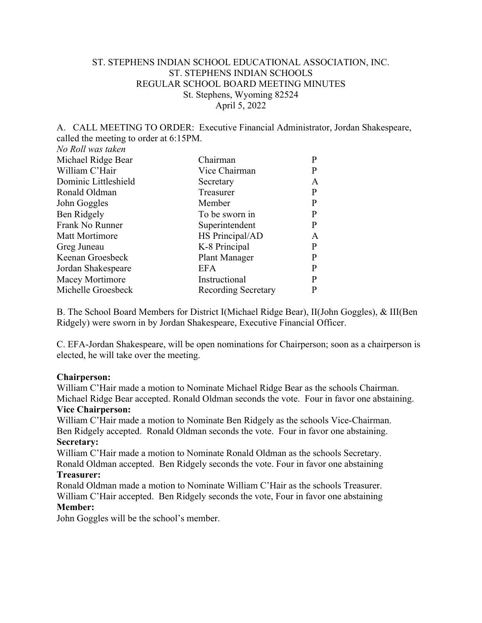# ST. STEPHENS INDIAN SCHOOL EDUCATIONAL ASSOCIATION, INC. ST. STEPHENS INDIAN SCHOOLS REGULAR SCHOOL BOARD MEETING MINUTES St. Stephens, Wyoming 82524 April 5, 2022

## A. CALL MEETING TO ORDER: Executive Financial Administrator, Jordan Shakespeare, called the meeting to order at 6:15PM.

*No Roll was taken*

| Chairman            | P |
|---------------------|---|
| Vice Chairman       | P |
| Secretary           | A |
| Treasurer           | P |
| Member              | P |
| To be sworn in      |   |
| Superintendent      | P |
| HS Principal/AD     | A |
| K-8 Principal       | P |
| Plant Manager       | р |
| <b>EFA</b>          | P |
| Instructional       |   |
| Recording Secretary |   |
|                     |   |

B. The School Board Members for District I(Michael Ridge Bear), II(John Goggles), & III(Ben Ridgely) were sworn in by Jordan Shakespeare, Executive Financial Officer.

C. EFA-Jordan Shakespeare, will be open nominations for Chairperson; soon as a chairperson is elected, he will take over the meeting.

## **Chairperson:**

William C'Hair made a motion to Nominate Michael Ridge Bear as the schools Chairman. Michael Ridge Bear accepted. Ronald Oldman seconds the vote. Four in favor one abstaining.

#### **Vice Chairperson:**

William C'Hair made a motion to Nominate Ben Ridgely as the schools Vice-Chairman. Ben Ridgely accepted. Ronald Oldman seconds the vote. Four in favor one abstaining. **Secretary:**

William C'Hair made a motion to Nominate Ronald Oldman as the schools Secretary. Ronald Oldman accepted. Ben Ridgely seconds the vote. Four in favor one abstaining

#### **Treasurer:**

Ronald Oldman made a motion to Nominate William C'Hair as the schools Treasurer. William C'Hair accepted. Ben Ridgely seconds the vote, Four in favor one abstaining **Member:**

John Goggles will be the school's member.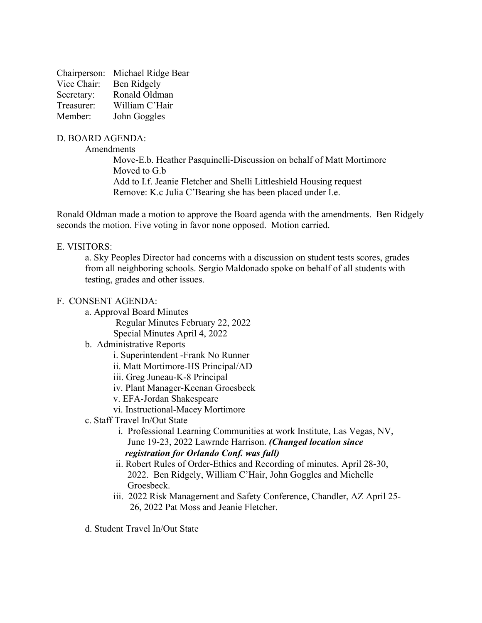|             | Chairperson: Michael Ridge Bear |
|-------------|---------------------------------|
| Vice Chair: | Ben Ridgely                     |
| Secretary:  | Ronald Oldman                   |
| Treasurer:  | William C'Hair                  |
| Member:     | John Goggles                    |

## D. BOARD AGENDA:

Amendments

Move-E.b. Heather Pasquinelli-Discussion on behalf of Matt Mortimore Moved to G.b Add to I.f. Jeanie Fletcher and Shelli Littleshield Housing request Remove: K.c Julia C'Bearing she has been placed under I.e.

Ronald Oldman made a motion to approve the Board agenda with the amendments. Ben Ridgely seconds the motion. Five voting in favor none opposed. Motion carried.

## E. VISITORS:

a. Sky Peoples Director had concerns with a discussion on student tests scores, grades from all neighboring schools. Sergio Maldonado spoke on behalf of all students with testing, grades and other issues.

## F. CONSENT AGENDA:

- a. Approval Board Minutes
	- Regular Minutes February 22, 2022 Special Minutes April 4, 2022
- b. Administrative Reports
	- i. Superintendent -Frank No Runner
	- ii. Matt Mortimore-HS Principal/AD
	- iii. Greg Juneau-K-8 Principal
	- iv. Plant Manager-Keenan Groesbeck
	- v. EFA-Jordan Shakespeare
	- vi. Instructional-Macey Mortimore
- c. Staff Travel In/Out State
	- i. Professional Learning Communities at work Institute, Las Vegas, NV, June 19-23, 2022 Lawrnde Harrison. *(Changed location since registration for Orlando Conf. was full)*
	- ii. Robert Rules of Order-Ethics and Recording of minutes. April 28-30, 2022. Ben Ridgely, William C'Hair, John Goggles and Michelle Groesbeck.
	- iii. 2022 Risk Management and Safety Conference, Chandler, AZ April 25- 26, 2022 Pat Moss and Jeanie Fletcher.
- d. Student Travel In/Out State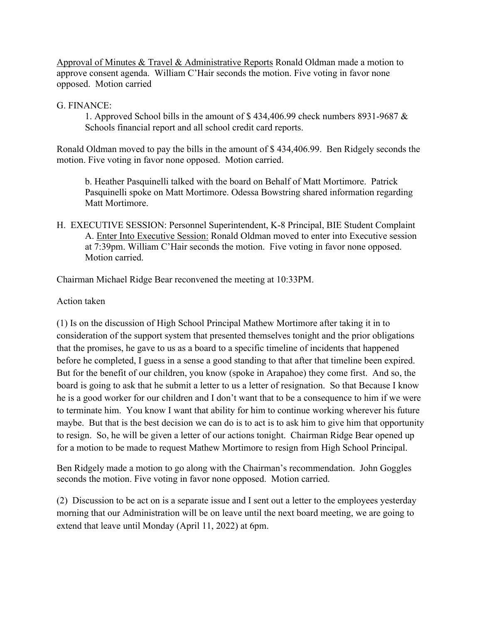Approval of Minutes & Travel & Administrative Reports Ronald Oldman made a motion to approve consent agenda. William C'Hair seconds the motion. Five voting in favor none opposed. Motion carried

# G. FINANCE:

1. Approved School bills in the amount of \$ 434,406.99 check numbers 8931-9687 & Schools financial report and all school credit card reports.

Ronald Oldman moved to pay the bills in the amount of \$ 434,406.99. Ben Ridgely seconds the motion. Five voting in favor none opposed. Motion carried.

b. Heather Pasquinelli talked with the board on Behalf of Matt Mortimore. Patrick Pasquinelli spoke on Matt Mortimore. Odessa Bowstring shared information regarding Matt Mortimore.

H. EXECUTIVE SESSION: Personnel Superintendent, K-8 Principal, BIE Student Complaint A. Enter Into Executive Session: Ronald Oldman moved to enter into Executive session at 7:39pm. William C'Hair seconds the motion. Five voting in favor none opposed. Motion carried.

Chairman Michael Ridge Bear reconvened the meeting at 10:33PM.

Action taken

(1) Is on the discussion of High School Principal Mathew Mortimore after taking it in to consideration of the support system that presented themselves tonight and the prior obligations that the promises, he gave to us as a board to a specific timeline of incidents that happened before he completed, I guess in a sense a good standing to that after that timeline been expired. But for the benefit of our children, you know (spoke in Arapahoe) they come first. And so, the board is going to ask that he submit a letter to us a letter of resignation. So that Because I know he is a good worker for our children and I don't want that to be a consequence to him if we were to terminate him. You know I want that ability for him to continue working wherever his future maybe. But that is the best decision we can do is to act is to ask him to give him that opportunity to resign. So, he will be given a letter of our actions tonight. Chairman Ridge Bear opened up for a motion to be made to request Mathew Mortimore to resign from High School Principal.

Ben Ridgely made a motion to go along with the Chairman's recommendation. John Goggles seconds the motion. Five voting in favor none opposed. Motion carried.

(2) Discussion to be act on is a separate issue and I sent out a letter to the employees yesterday morning that our Administration will be on leave until the next board meeting, we are going to extend that leave until Monday (April 11, 2022) at 6pm.